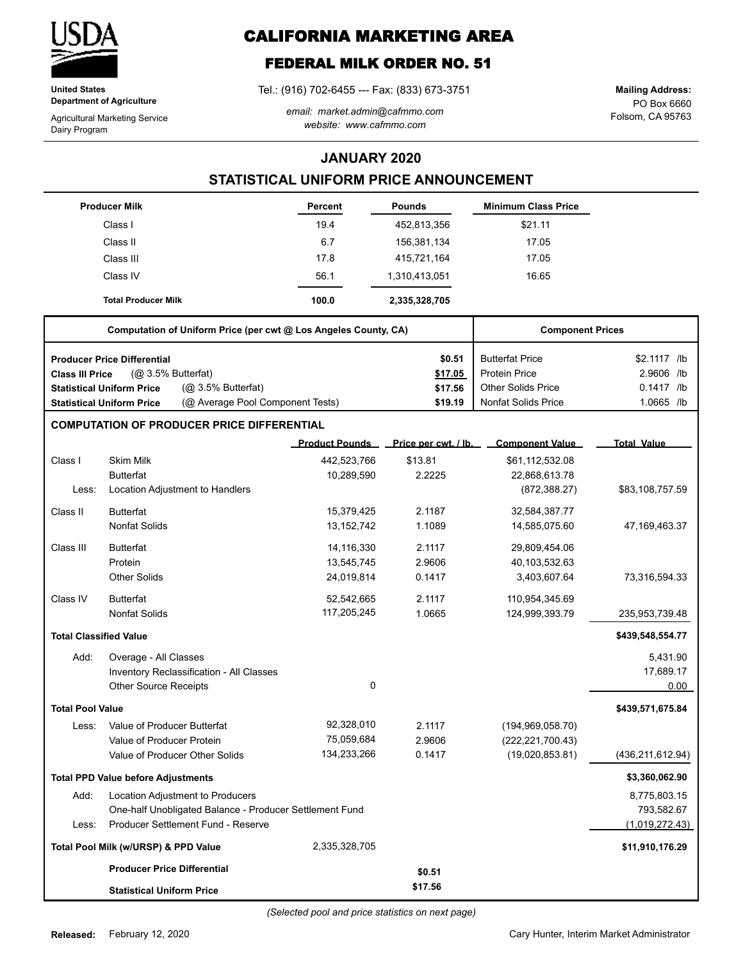

**United States Department of Agriculture**

Agricultural Marketing Service Dairy Program

# **CALIFORNIA MARKETING AREA**

## **FEDERAL MILK ORDER NO. 51**

Tel.: (916) 702-6455 --- Fax: (833) 673-3751

*email: market.admin@cafmmo.com website: www.cafmmo.com*

PO Box 6660 Folsom, CA 95763 **Mailing Address:**

### **JANUARY 2020**

### **STATISTICAL UNIFORM PRICE ANNOUNCEMENT**

|                               | <b>Producer Milk</b>                      |                                                                 | Percent               | <b>Pounds</b>        | <b>Minimum Class Price</b> |                    |
|-------------------------------|-------------------------------------------|-----------------------------------------------------------------|-----------------------|----------------------|----------------------------|--------------------|
|                               | Class I                                   |                                                                 | 19.4                  | 452,813,356          | \$21.11                    |                    |
|                               | Class II                                  |                                                                 | 6.7                   | 156,381,134          | 17.05                      |                    |
|                               | Class III                                 |                                                                 | 17.8                  | 415,721,164          | 17.05                      |                    |
|                               | Class IV                                  |                                                                 | 56.1                  | 1,310,413,051        | 16.65                      |                    |
|                               | <b>Total Producer Milk</b>                |                                                                 | 100.0                 | 2,335,328,705        |                            |                    |
|                               |                                           | Computation of Uniform Price (per cwt @ Los Angeles County, CA) |                       |                      | <b>Component Prices</b>    |                    |
|                               | <b>Producer Price Differential</b>        |                                                                 |                       | \$0.51               | <b>Butterfat Price</b>     | \$2.1117 /lb       |
| <b>Class III Price</b>        | (@ 3.5% Butterfat)                        |                                                                 |                       | \$17.05              | <b>Protein Price</b>       | 2.9606 /lb         |
|                               | <b>Statistical Uniform Price</b>          | (@ 3.5% Butterfat)                                              |                       | \$17.56              | Other Solids Price         | $0.1417$ /lb       |
|                               | <b>Statistical Uniform Price</b>          | (@ Average Pool Component Tests)                                |                       | \$19.19              | <b>Nonfat Solids Price</b> | $1.0665$ /lb       |
|                               |                                           | <b>COMPUTATION OF PRODUCER PRICE DIFFERENTIAL</b>               |                       |                      |                            |                    |
|                               |                                           |                                                                 | <b>Product Pounds</b> | Price per cwt. / lb. | <b>Component Value</b>     | <b>Total Value</b> |
| Class I                       | <b>Skim Milk</b>                          |                                                                 | 442,523,766           | \$13.81              | \$61,112,532.08            |                    |
|                               | <b>Butterfat</b>                          |                                                                 | 10,289,590            | 2.2225               | 22,868,613.78              |                    |
| Less:                         |                                           | Location Adjustment to Handlers                                 |                       |                      | (872, 388.27)              | \$83,108,757.59    |
| Class II                      | <b>Butterfat</b>                          |                                                                 | 15,379,425            | 2.1187               | 32,584,387.77              |                    |
|                               | <b>Nonfat Solids</b>                      |                                                                 | 13, 152, 742          | 1.1089               | 14,585,075.60              | 47,169,463.37      |
| Class III                     | <b>Butterfat</b>                          |                                                                 | 14,116,330            | 2.1117               | 29,809,454.06              |                    |
|                               | Protein                                   |                                                                 | 13,545,745            | 2.9606               | 40,103,532.63              |                    |
|                               | <b>Other Solids</b>                       |                                                                 | 24,019,814            | 0.1417               | 3,403,607.64               | 73,316,594.33      |
| Class IV                      | <b>Butterfat</b>                          |                                                                 | 52,542,665            | 2.1117               | 110,954,345.69             |                    |
|                               | <b>Nonfat Solids</b>                      |                                                                 | 117,205,245           | 1.0665               | 124,999,393.79             | 235,953,739.48     |
| <b>Total Classified Value</b> |                                           |                                                                 |                       |                      |                            | \$439,548,554.77   |
| Add:                          | Overage - All Classes                     |                                                                 |                       |                      |                            | 5,431.90           |
|                               |                                           | Inventory Reclassification - All Classes                        |                       |                      |                            | 17,689.17          |
|                               | Other Source Receipts                     |                                                                 | 0                     |                      |                            | 0.00               |
| <b>Total Pool Value</b>       |                                           |                                                                 |                       |                      |                            | \$439,571,675.84   |
| Less:                         | Value of Producer Butterfat               |                                                                 | 92,328,010            | 2.1117               | (194, 969, 058.70)         |                    |
|                               | Value of Producer Protein                 |                                                                 | 75,059,684            | 2.9606               | (222, 221, 700.43)         |                    |
|                               | Value of Producer Other Solids            |                                                                 | 134,233,266           | 0.1417               | (19,020,853.81)            | (436, 211, 612.94) |
|                               | <b>Total PPD Value before Adjustments</b> |                                                                 |                       |                      |                            | \$3,360,062.90     |
| Add:                          |                                           | Location Adjustment to Producers                                |                       |                      |                            | 8,775,803.15       |
|                               |                                           | One-half Unobligated Balance - Producer Settlement Fund         |                       |                      |                            | 793,582.67         |
| Less:                         |                                           | Producer Settlement Fund - Reserve                              |                       |                      |                            | (1,019,272.43)     |
|                               | Total Pool Milk (w/URSP) & PPD Value      |                                                                 | 2,335,328,705         |                      |                            | \$11,910,176.29    |
|                               | <b>Producer Price Differential</b>        |                                                                 |                       | \$0.51               |                            |                    |
|                               | <b>Statistical Uniform Price</b>          |                                                                 |                       | \$17.56              |                            |                    |

*(Selected pool and price statistics on next page)*

Cary Hunter, Interim Market Administrator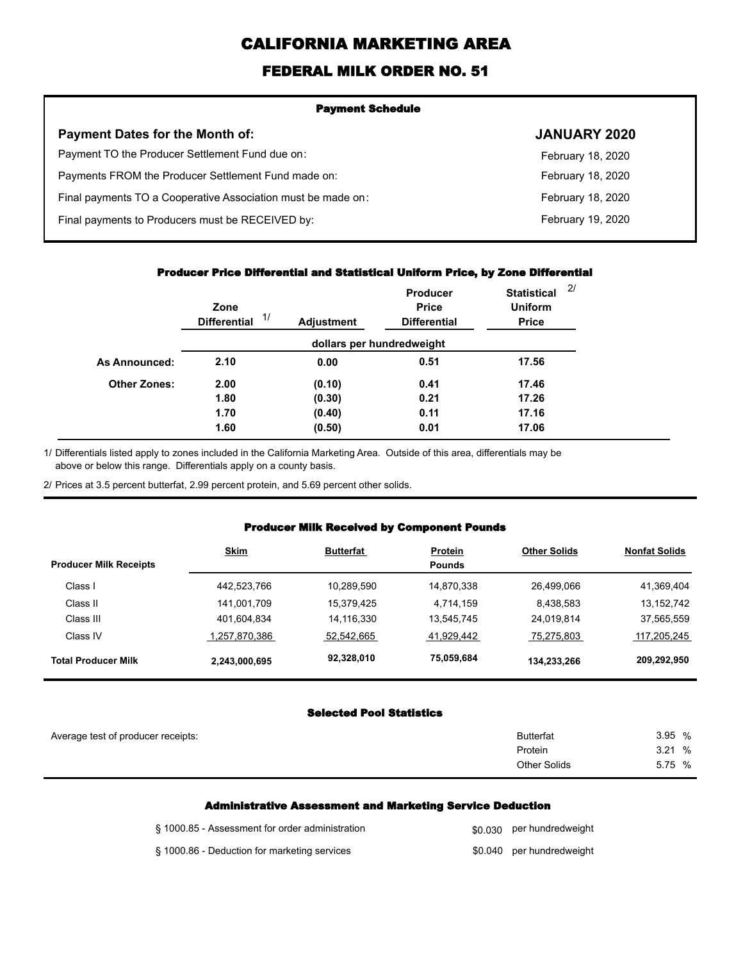# **CALIFORNIA MARKETING AREA**

## **FEDERAL MILK ORDER NO. 51**

| <b>Payment Schedule</b>                                      |                     |  |
|--------------------------------------------------------------|---------------------|--|
| <b>Payment Dates for the Month of:</b>                       | <b>JANUARY 2020</b> |  |
| Payment TO the Producer Settlement Fund due on:              | February 18, 2020   |  |
| Payments FROM the Producer Settlement Fund made on:          | February 18, 2020   |  |
| Final payments TO a Cooperative Association must be made on: | February 18, 2020   |  |
| Final payments to Producers must be RECEIVED by:             | February 19, 2020   |  |
|                                                              |                     |  |

#### **Producer Price Differential and Statistical Uniform Price, by Zone Differential**

|                     | Zone<br>1/<br><b>Differential</b> | <b>Adjustment</b> | Producer<br><b>Price</b><br><b>Differential</b> | <b>Statistical</b><br><b>Uniform</b><br><b>Price</b> | 2/ |
|---------------------|-----------------------------------|-------------------|-------------------------------------------------|------------------------------------------------------|----|
|                     |                                   |                   | dollars per hundredweight                       |                                                      |    |
| As Announced:       | 2.10                              | 0.00              | 0.51                                            | 17.56                                                |    |
| <b>Other Zones:</b> | 2.00                              | (0.10)            | 0.41                                            | 17.46                                                |    |
|                     | 1.80                              | (0.30)            | 0.21                                            | 17.26                                                |    |
|                     | 1.70                              | (0.40)            | 0.11                                            | 17.16                                                |    |
|                     | 1.60                              | (0.50)            | 0.01                                            | 17.06                                                |    |

Differentials listed apply to zones included in the California Marketing Area. Outside of this area, differentials may be above or below this range. Differentials apply on a county basis. 1/

2/ Prices at 3.5 percent butterfat, 2.99 percent protein, and 5.69 percent other solids.

#### **Producer Milk Received by Component Pounds**

|                               | <b>Skim</b>   | <b>Butterfat</b> | <b>Protein</b> | <b>Other Solids</b> | <b>Nonfat Solids</b> |
|-------------------------------|---------------|------------------|----------------|---------------------|----------------------|
| <b>Producer Milk Receipts</b> |               |                  | <b>Pounds</b>  |                     |                      |
| Class I                       | 442,523,766   | 10.289.590       | 14.870.338     | 26.499.066          | 41,369,404           |
| Class II                      | 141,001,709   | 15.379.425       | 4.714.159      | 8.438.583           | 13, 152, 742         |
| Class III                     | 401,604,834   | 14,116,330       | 13.545.745     | 24.019.814          | 37,565,559           |
| Class IV                      | 1,257,870,386 | 52.542.665       | 41,929,442     | 75,275,803          | 117,205,245          |
| <b>Total Producer Milk</b>    | 2,243,000,695 | 92,328,010       | 75,059,684     | 134,233,266         | 209,292,950          |

#### **Selected Pool Statistics**

| Average test of producer receipts: | <b>Butterfat</b>    | 3.95 % |
|------------------------------------|---------------------|--------|
|                                    | Protein             | 3.21%  |
|                                    | <b>Other Solids</b> | 5.75 % |
|                                    |                     |        |

#### **Administrative Assessment and Marketing Service Deduction**

| § 1000.85 - Assessment for order administration | \$0,030 per hundredweight |
|-------------------------------------------------|---------------------------|
| § 1000.86 - Deduction for marketing services    | \$0.040 per hundredweight |